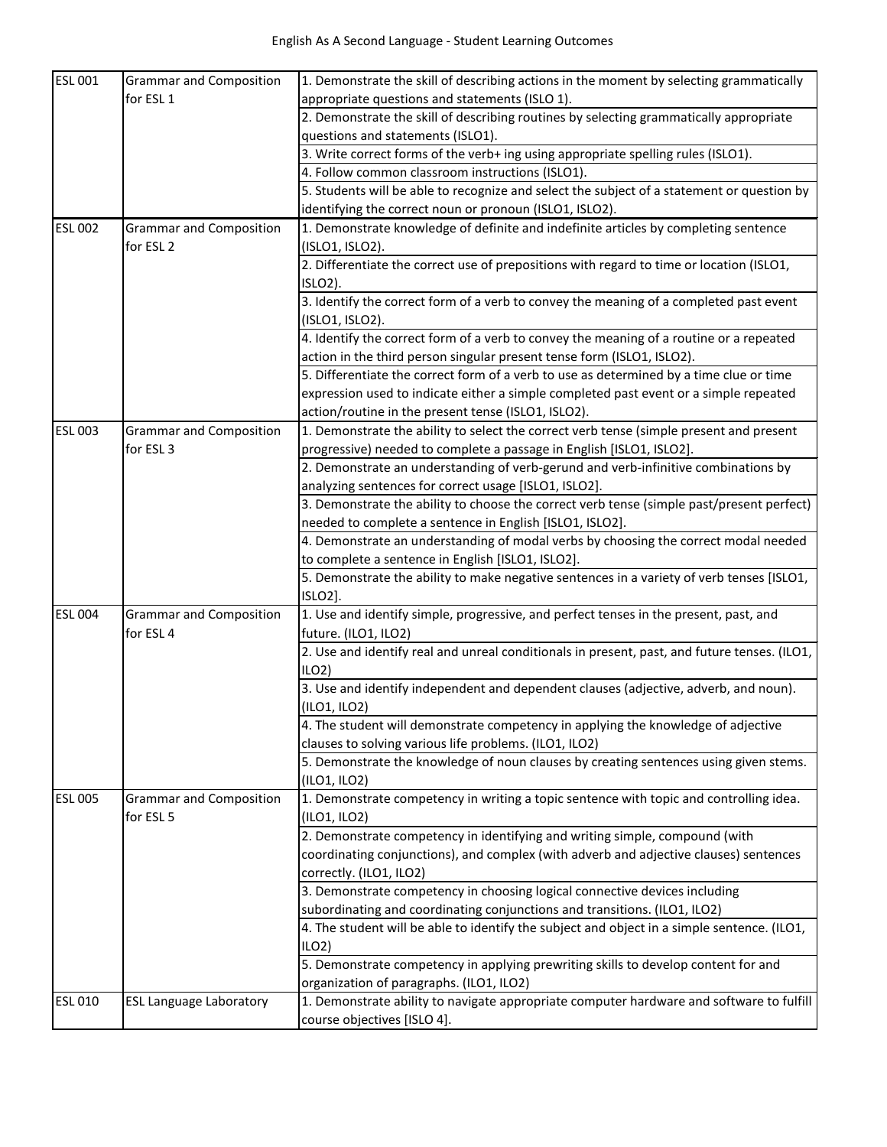| <b>ESL 001</b> | <b>Grammar and Composition</b> | 1. Demonstrate the skill of describing actions in the moment by selecting grammatically      |
|----------------|--------------------------------|----------------------------------------------------------------------------------------------|
|                | for ESL 1                      | appropriate questions and statements (ISLO 1).                                               |
|                |                                | 2. Demonstrate the skill of describing routines by selecting grammatically appropriate       |
|                |                                | questions and statements (ISLO1).                                                            |
|                |                                | 3. Write correct forms of the verb+ ing using appropriate spelling rules (ISLO1).            |
|                |                                | 4. Follow common classroom instructions (ISLO1).                                             |
|                |                                | 5. Students will be able to recognize and select the subject of a statement or question by   |
|                |                                | identifying the correct noun or pronoun (ISLO1, ISLO2).                                      |
| <b>ESL 002</b> | <b>Grammar and Composition</b> | 1. Demonstrate knowledge of definite and indefinite articles by completing sentence          |
|                | for ESL <sub>2</sub>           | (ISLO1, ISLO2).                                                                              |
|                |                                | 2. Differentiate the correct use of prepositions with regard to time or location (ISLO1,     |
|                |                                | ISLO2).                                                                                      |
|                |                                | 3. Identify the correct form of a verb to convey the meaning of a completed past event       |
|                |                                | (ISLO1, ISLO2).                                                                              |
|                |                                | 4. Identify the correct form of a verb to convey the meaning of a routine or a repeated      |
|                |                                | action in the third person singular present tense form (ISLO1, ISLO2).                       |
|                |                                | 5. Differentiate the correct form of a verb to use as determined by a time clue or time      |
|                |                                | expression used to indicate either a simple completed past event or a simple repeated        |
|                |                                | action/routine in the present tense (ISLO1, ISLO2).                                          |
| <b>ESL 003</b> | <b>Grammar and Composition</b> | 1. Demonstrate the ability to select the correct verb tense (simple present and present      |
|                | for ESL <sub>3</sub>           | progressive) needed to complete a passage in English [ISLO1, ISLO2].                         |
|                |                                | 2. Demonstrate an understanding of verb-gerund and verb-infinitive combinations by           |
|                |                                | analyzing sentences for correct usage [ISLO1, ISLO2].                                        |
|                |                                | 3. Demonstrate the ability to choose the correct verb tense (simple past/present perfect)    |
|                |                                |                                                                                              |
|                |                                | needed to complete a sentence in English [ISLO1, ISLO2].                                     |
|                |                                | 4. Demonstrate an understanding of modal verbs by choosing the correct modal needed          |
|                |                                | to complete a sentence in English [ISLO1, ISLO2].                                            |
|                |                                | 5. Demonstrate the ability to make negative sentences in a variety of verb tenses [ISLO1,    |
|                |                                | ISLO <sub>2</sub> ].                                                                         |
| <b>ESL 004</b> | <b>Grammar and Composition</b> | 1. Use and identify simple, progressive, and perfect tenses in the present, past, and        |
|                | for ESL 4                      | future. (ILO1, ILO2)                                                                         |
|                |                                | 2. Use and identify real and unreal conditionals in present, past, and future tenses. (ILO1, |
|                |                                | ILO2                                                                                         |
|                |                                | 3. Use and identify independent and dependent clauses (adjective, adverb, and noun).         |
|                |                                | $($ ILO1, ILO2 $)$                                                                           |
|                |                                | 4. The student will demonstrate competency in applying the knowledge of adjective            |
|                |                                | clauses to solving various life problems. (ILO1, ILO2)                                       |
|                |                                | 5. Demonstrate the knowledge of noun clauses by creating sentences using given stems.        |
|                |                                | (ILO1, ILO2)                                                                                 |
| <b>ESL 005</b> | <b>Grammar and Composition</b> | 1. Demonstrate competency in writing a topic sentence with topic and controlling idea.       |
|                | for ESL 5                      | (ILO1, ILO2)                                                                                 |
|                |                                | 2. Demonstrate competency in identifying and writing simple, compound (with                  |
|                |                                | coordinating conjunctions), and complex (with adverb and adjective clauses) sentences        |
|                |                                | correctly. (ILO1, ILO2)                                                                      |
|                |                                | 3. Demonstrate competency in choosing logical connective devices including                   |
|                |                                | subordinating and coordinating conjunctions and transitions. (ILO1, ILO2)                    |
|                |                                | 4. The student will be able to identify the subject and object in a simple sentence. (ILO1,  |
|                |                                | ILO2                                                                                         |
|                |                                | 5. Demonstrate competency in applying prewriting skills to develop content for and           |
|                |                                | organization of paragraphs. (ILO1, ILO2)                                                     |
| ESL 010        | <b>ESL Language Laboratory</b> | 1. Demonstrate ability to navigate appropriate computer hardware and software to fulfill     |
|                |                                | course objectives [ISLO 4].                                                                  |